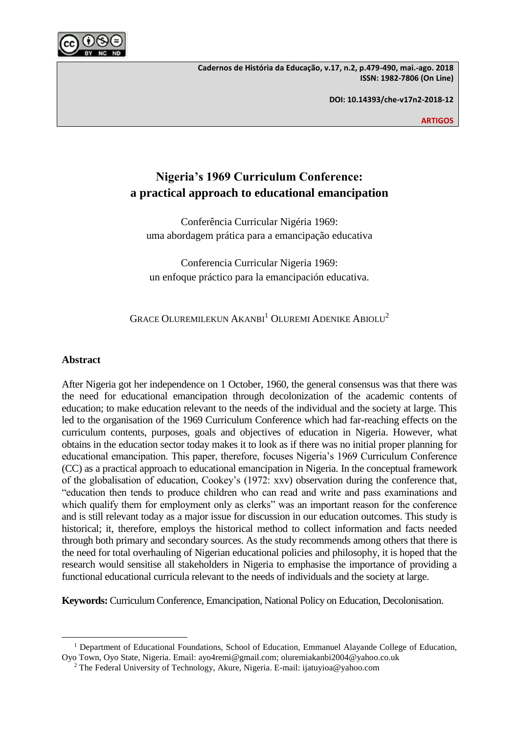

**Cadernos de História da Educação, v.17, n.2, p.479-490, mai.-ago. 2018 ISSN: 1982-7806 (On Line)**

**DOI: 10.14393/che-v17n2-2018-12**

**ARTIGOS**

# **Nigeria's 1969 Curriculum Conference: a practical approach to educational emancipation**

Conferência Curricular Nigéria 1969: uma abordagem prática para a emancipação educativa

Conferencia Curricular Nigeria 1969: un enfoque práctico para la emancipación educativa.

GRACE OLUREMILEKUN AKANBI<sup>1</sup> OLUREMI ADENIKE ABIOLU<sup>2</sup>

# **Abstract**

 $\overline{\phantom{a}}$ 

After Nigeria got her independence on 1 October, 1960, the general consensus was that there was the need for educational emancipation through decolonization of the academic contents of education; to make education relevant to the needs of the individual and the society at large. This led to the organisation of the 1969 Curriculum Conference which had far-reaching effects on the curriculum contents, purposes, goals and objectives of education in Nigeria. However, what obtains in the education sector today makes it to look as if there was no initial proper planning for educational emancipation. This paper, therefore, focuses Nigeria's 1969 Curriculum Conference (CC) as a practical approach to educational emancipation in Nigeria. In the conceptual framework of the globalisation of education, Cookey's (1972: xxv) observation during the conference that, "education then tends to produce children who can read and write and pass examinations and which qualify them for employment only as clerks" was an important reason for the conference and is still relevant today as a major issue for discussion in our education outcomes. This study is historical; it, therefore, employs the historical method to collect information and facts needed through both primary and secondary sources. As the study recommends among others that there is the need for total overhauling of Nigerian educational policies and philosophy, it is hoped that the research would sensitise all stakeholders in Nigeria to emphasise the importance of providing a functional educational curricula relevant to the needs of individuals and the society at large.

**Keywords:** Curriculum Conference, Emancipation, National Policy on Education, Decolonisation.

<sup>&</sup>lt;sup>1</sup> Department of Educational Foundations, School of Education, Emmanuel Alayande College of Education, Oyo Town, Oyo State, Nigeria. Email: ayo4remi@gmail.com; oluremiakanbi2004@yahoo.co.uk

<sup>2</sup> The Federal University of Technology, Akure, Nigeria. E-mail: ijatuyioa@yahoo.com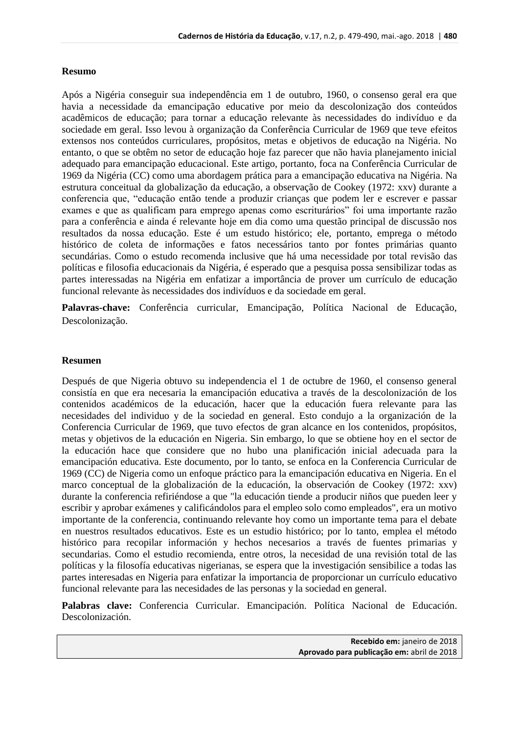## **Resumo**

Após a Nigéria conseguir sua independência em 1 de outubro, 1960, o consenso geral era que havia a necessidade da emancipação educative por meio da descolonização dos conteúdos acadêmicos de educação; para tornar a educação relevante às necessidades do indivíduo e da sociedade em geral. Isso levou à organização da Conferência Curricular de 1969 que teve efeitos extensos nos conteúdos curriculares, propósitos, metas e objetivos de educação na Nigéria. No entanto, o que se obtêm no setor de educação hoje faz parecer que não havia planejamento inicial adequado para emancipação educacional. Este artigo, portanto, foca na Conferência Curricular de 1969 da Nigéria (CC) como uma abordagem prática para a emancipação educativa na Nigéria. Na estrutura conceitual da globalização da educação, a observação de Cookey (1972: xxv) durante a conferencia que, "educação então tende a produzir crianças que podem ler e escrever e passar exames e que as qualificam para emprego apenas como escriturários" foi uma importante razão para a conferência e ainda é relevante hoje em dia como uma questão principal de discussão nos resultados da nossa educação. Este é um estudo histórico; ele, portanto, emprega o método histórico de coleta de informações e fatos necessários tanto por fontes primárias quanto secundárias. Como o estudo recomenda inclusive que há uma necessidade por total revisão das políticas e filosofia educacionais da Nigéria, é esperado que a pesquisa possa sensibilizar todas as partes interessadas na Nigéria em enfatizar a importância de prover um currículo de educação funcional relevante às necessidades dos indivíduos e da sociedade em geral.

**Palavras-chave:** Conferência curricular, Emancipação, Política Nacional de Educação, Descolonização.

## **Resumen**

Después de que Nigeria obtuvo su independencia el 1 de octubre de 1960, el consenso general consistía en que era necesaria la emancipación educativa a través de la descolonización de los contenidos académicos de la educación, hacer que la educación fuera relevante para las necesidades del individuo y de la sociedad en general. Esto condujo a la organización de la Conferencia Curricular de 1969, que tuvo efectos de gran alcance en los contenidos, propósitos, metas y objetivos de la educación en Nigeria. Sin embargo, lo que se obtiene hoy en el sector de la educación hace que considere que no hubo una planificación inicial adecuada para la emancipación educativa. Este documento, por lo tanto, se enfoca en la Conferencia Curricular de 1969 (CC) de Nigeria como un enfoque práctico para la emancipación educativa en Nigeria. En el marco conceptual de la globalización de la educación, la observación de Cookey (1972: xxv) durante la conferencia refiriéndose a que "la educación tiende a producir niños que pueden leer y escribir y aprobar exámenes y calificándolos para el empleo solo como empleados", era un motivo importante de la conferencia, continuando relevante hoy como un importante tema para el debate en nuestros resultados educativos. Este es un estudio histórico; por lo tanto, emplea el método histórico para recopilar información y hechos necesarios a través de fuentes primarias y secundarias. Como el estudio recomienda, entre otros, la necesidad de una revisión total de las políticas y la filosofía educativas nigerianas, se espera que la investigación sensibilice a todas las partes interesadas en Nigeria para enfatizar la importancia de proporcionar un currículo educativo funcional relevante para las necesidades de las personas y la sociedad en general.

**Palabras clave:** Conferencia Curricular. Emancipación. Política Nacional de Educación. Descolonización.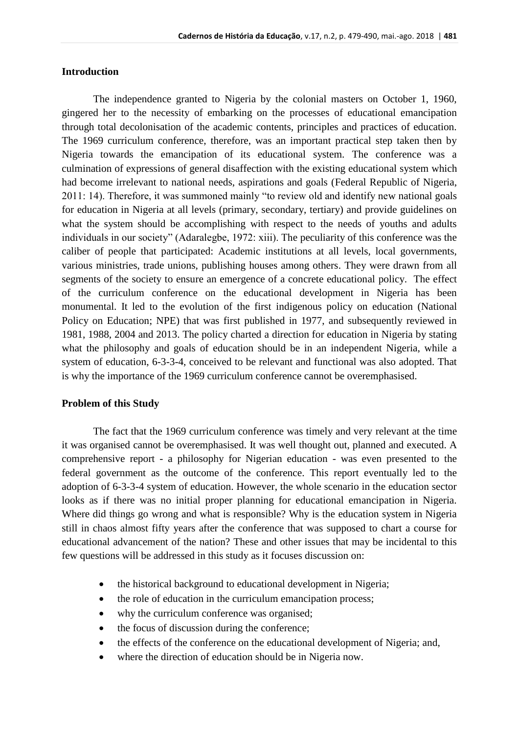# **Introduction**

The independence granted to Nigeria by the colonial masters on October 1, 1960, gingered her to the necessity of embarking on the processes of educational emancipation through total decolonisation of the academic contents, principles and practices of education. The 1969 curriculum conference, therefore, was an important practical step taken then by Nigeria towards the emancipation of its educational system. The conference was a culmination of expressions of general disaffection with the existing educational system which had become irrelevant to national needs, aspirations and goals (Federal Republic of Nigeria, 2011: 14). Therefore, it was summoned mainly "to review old and identify new national goals for education in Nigeria at all levels (primary, secondary, tertiary) and provide guidelines on what the system should be accomplishing with respect to the needs of youths and adults individuals in our society" (Adaralegbe, 1972: xiii). The peculiarity of this conference was the caliber of people that participated: Academic institutions at all levels, local governments, various ministries, trade unions, publishing houses among others. They were drawn from all segments of the society to ensure an emergence of a concrete educational policy. The effect of the curriculum conference on the educational development in Nigeria has been monumental. It led to the evolution of the first indigenous policy on education (National Policy on Education; NPE) that was first published in 1977, and subsequently reviewed in 1981, 1988, 2004 and 2013. The policy charted a direction for education in Nigeria by stating what the philosophy and goals of education should be in an independent Nigeria, while a system of education, 6-3-3-4, conceived to be relevant and functional was also adopted. That is why the importance of the 1969 curriculum conference cannot be overemphasised.

#### **Problem of this Study**

The fact that the 1969 curriculum conference was timely and very relevant at the time it was organised cannot be overemphasised. It was well thought out, planned and executed. A comprehensive report - a philosophy for Nigerian education - was even presented to the federal government as the outcome of the conference. This report eventually led to the adoption of 6-3-3-4 system of education. However, the whole scenario in the education sector looks as if there was no initial proper planning for educational emancipation in Nigeria. Where did things go wrong and what is responsible? Why is the education system in Nigeria still in chaos almost fifty years after the conference that was supposed to chart a course for educational advancement of the nation? These and other issues that may be incidental to this few questions will be addressed in this study as it focuses discussion on:

- the historical background to educational development in Nigeria;
- the role of education in the curriculum emancipation process;
- why the curriculum conference was organised;
- the focus of discussion during the conference;
- the effects of the conference on the educational development of Nigeria; and,
- where the direction of education should be in Nigeria now.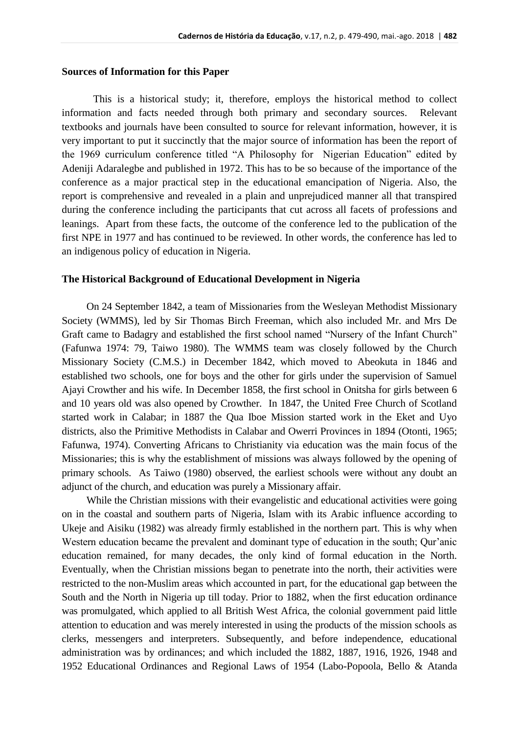#### **Sources of Information for this Paper**

This is a historical study; it, therefore, employs the historical method to collect information and facts needed through both primary and secondary sources. Relevant textbooks and journals have been consulted to source for relevant information, however, it is very important to put it succinctly that the major source of information has been the report of the 1969 curriculum conference titled "A Philosophy for Nigerian Education" edited by Adeniji Adaralegbe and published in 1972. This has to be so because of the importance of the conference as a major practical step in the educational emancipation of Nigeria. Also, the report is comprehensive and revealed in a plain and unprejudiced manner all that transpired during the conference including the participants that cut across all facets of professions and leanings. Apart from these facts, the outcome of the conference led to the publication of the first NPE in 1977 and has continued to be reviewed. In other words, the conference has led to an indigenous policy of education in Nigeria.

#### **The Historical Background of Educational Development in Nigeria**

On 24 September 1842, a team of Missionaries from the Wesleyan Methodist Missionary Society (WMMS), led by Sir Thomas Birch Freeman, which also included Mr. and Mrs De Graft came to Badagry and established the first school named "Nursery of the Infant Church" (Fafunwa 1974: 79, Taiwo 1980). The WMMS team was closely followed by the Church Missionary Society (C.M.S.) in December 1842, which moved to Abeokuta in 1846 and established two schools, one for boys and the other for girls under the supervision of Samuel Ajayi Crowther and his wife. In December 1858, the first school in Onitsha for girls between 6 and 10 years old was also opened by Crowther. In 1847, the United Free Church of Scotland started work in Calabar; in 1887 the Qua Iboe Mission started work in the Eket and Uyo districts, also the Primitive Methodists in Calabar and Owerri Provinces in 1894 (Otonti, 1965; Fafunwa, 1974). Converting Africans to Christianity via education was the main focus of the Missionaries; this is why the establishment of missions was always followed by the opening of primary schools. As Taiwo (1980) observed, the earliest schools were without any doubt an adjunct of the church, and education was purely a Missionary affair.

While the Christian missions with their evangelistic and educational activities were going on in the coastal and southern parts of Nigeria, Islam with its Arabic influence according to Ukeje and Aisiku (1982) was already firmly established in the northern part. This is why when Western education became the prevalent and dominant type of education in the south; Qur'anic education remained, for many decades, the only kind of formal education in the North. Eventually, when the Christian missions began to penetrate into the north, their activities were restricted to the non-Muslim areas which accounted in part, for the educational gap between the South and the North in Nigeria up till today. Prior to 1882, when the first education ordinance was promulgated, which applied to all British West Africa, the colonial government paid little attention to education and was merely interested in using the products of the mission schools as clerks, messengers and interpreters. Subsequently, and before independence, educational administration was by ordinances; and which included the 1882, 1887, 1916, 1926, 1948 and 1952 Educational Ordinances and Regional Laws of 1954 (Labo-Popoola, Bello & Atanda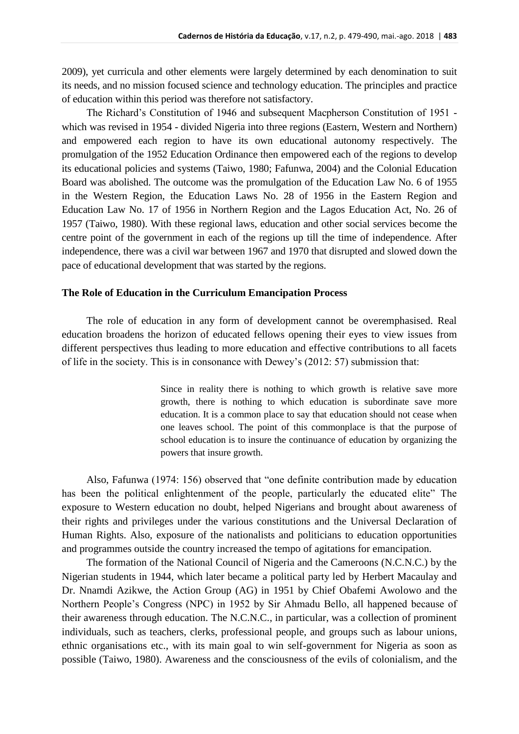2009), yet curricula and other elements were largely determined by each denomination to suit its needs, and no mission focused science and technology education. The principles and practice of education within this period was therefore not satisfactory.

The Richard's Constitution of 1946 and subsequent Macpherson Constitution of 1951 which was revised in 1954 - divided Nigeria into three regions (Eastern, Western and Northern) and empowered each region to have its own educational autonomy respectively. The promulgation of the 1952 Education Ordinance then empowered each of the regions to develop its educational policies and systems (Taiwo, 1980; Fafunwa, 2004) and the Colonial Education Board was abolished. The outcome was the promulgation of the Education Law No. 6 of 1955 in the Western Region, the Education Laws No. 28 of 1956 in the Eastern Region and Education Law No. 17 of 1956 in Northern Region and the Lagos Education Act, No. 26 of 1957 (Taiwo, 1980). With these regional laws, education and other social services become the centre point of the government in each of the regions up till the time of independence. After independence, there was a civil war between 1967 and 1970 that disrupted and slowed down the pace of educational development that was started by the regions.

## **The Role of Education in the Curriculum Emancipation Process**

The role of education in any form of development cannot be overemphasised. Real education broadens the horizon of educated fellows opening their eyes to view issues from different perspectives thus leading to more education and effective contributions to all facets of life in the society. This is in consonance with Dewey's (2012: 57) submission that:

> Since in reality there is nothing to which growth is relative save more growth, there is nothing to which education is subordinate save more education. It is a common place to say that education should not cease when one leaves school. The point of this commonplace is that the purpose of school education is to insure the continuance of education by organizing the powers that insure growth.

Also, Fafunwa (1974: 156) observed that "one definite contribution made by education has been the political enlightenment of the people, particularly the educated elite" The exposure to Western education no doubt, helped Nigerians and brought about awareness of their rights and privileges under the various constitutions and the Universal Declaration of Human Rights. Also, exposure of the nationalists and politicians to education opportunities and programmes outside the country increased the tempo of agitations for emancipation.

The formation of the National Council of Nigeria and the Cameroons (N.C.N.C.) by the Nigerian students in 1944, which later became a political party led by Herbert Macaulay and Dr. Nnamdi Azikwe, the Action Group (AG) in 1951 by Chief Obafemi Awolowo and the Northern People's Congress (NPC) in 1952 by Sir Ahmadu Bello, all happened because of their awareness through education. The N.C.N.C., in particular, was a collection of prominent individuals, such as teachers, clerks, professional people, and groups such as labour unions, ethnic organisations etc., with its main goal to win self-government for Nigeria as soon as possible (Taiwo, 1980). Awareness and the consciousness of the evils of colonialism, and the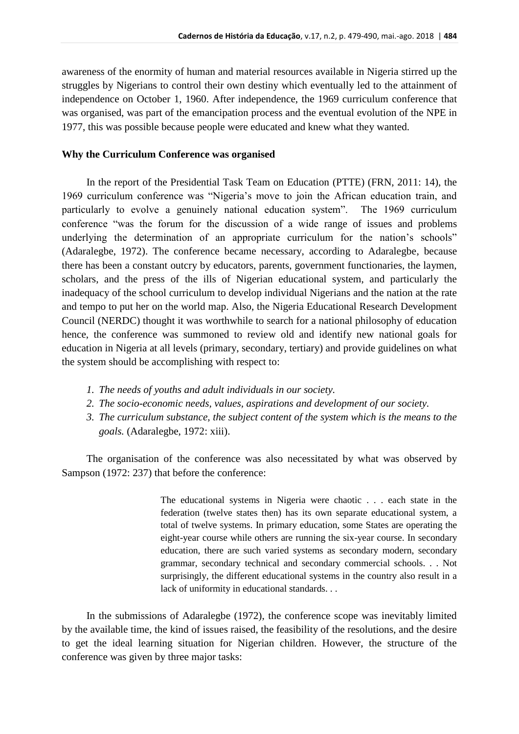awareness of the enormity of human and material resources available in Nigeria stirred up the struggles by Nigerians to control their own destiny which eventually led to the attainment of independence on October 1, 1960. After independence, the 1969 curriculum conference that was organised, was part of the emancipation process and the eventual evolution of the NPE in 1977, this was possible because people were educated and knew what they wanted.

#### **Why the Curriculum Conference was organised**

In the report of the Presidential Task Team on Education (PTTE) (FRN, 2011: 14), the 1969 curriculum conference was "Nigeria's move to join the African education train, and particularly to evolve a genuinely national education system". The 1969 curriculum conference "was the forum for the discussion of a wide range of issues and problems underlying the determination of an appropriate curriculum for the nation's schools" (Adaralegbe, 1972). The conference became necessary, according to Adaralegbe, because there has been a constant outcry by educators, parents, government functionaries, the laymen, scholars, and the press of the ills of Nigerian educational system, and particularly the inadequacy of the school curriculum to develop individual Nigerians and the nation at the rate and tempo to put her on the world map. Also, the Nigeria Educational Research Development Council (NERDC) thought it was worthwhile to search for a national philosophy of education hence, the conference was summoned to review old and identify new national goals for education in Nigeria at all levels (primary, secondary, tertiary) and provide guidelines on what the system should be accomplishing with respect to:

- *1. The needs of youths and adult individuals in our society.*
- *2. The socio-economic needs, values, aspirations and development of our society.*
- *3. The curriculum substance, the subject content of the system which is the means to the goals.* (Adaralegbe, 1972: xiii).

The organisation of the conference was also necessitated by what was observed by Sampson (1972: 237) that before the conference:

> The educational systems in Nigeria were chaotic . . . each state in the federation (twelve states then) has its own separate educational system, a total of twelve systems. In primary education, some States are operating the eight-year course while others are running the six-year course. In secondary education, there are such varied systems as secondary modern, secondary grammar, secondary technical and secondary commercial schools. . . Not surprisingly, the different educational systems in the country also result in a lack of uniformity in educational standards. . .

In the submissions of Adaralegbe (1972), the conference scope was inevitably limited by the available time, the kind of issues raised, the feasibility of the resolutions, and the desire to get the ideal learning situation for Nigerian children. However, the structure of the conference was given by three major tasks: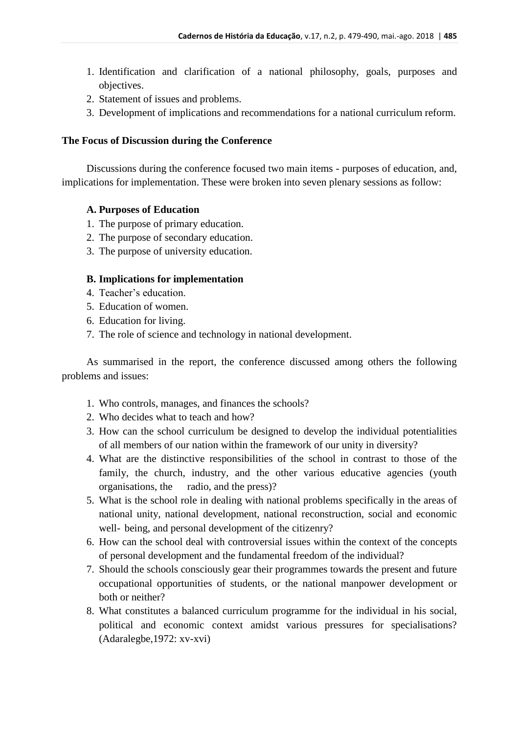- 1. Identification and clarification of a national philosophy, goals, purposes and objectives.
- 2. Statement of issues and problems.
- 3. Development of implications and recommendations for a national curriculum reform.

## **The Focus of Discussion during the Conference**

Discussions during the conference focused two main items - purposes of education, and, implications for implementation. These were broken into seven plenary sessions as follow:

## **A. Purposes of Education**

- 1. The purpose of primary education.
- 2. The purpose of secondary education.
- 3. The purpose of university education.

#### **B. Implications for implementation**

- 4. Teacher's education.
- 5. Education of women.
- 6. Education for living.
- 7. The role of science and technology in national development.

As summarised in the report, the conference discussed among others the following problems and issues:

- 1. Who controls, manages, and finances the schools?
- 2. Who decides what to teach and how?
- 3. How can the school curriculum be designed to develop the individual potentialities of all members of our nation within the framework of our unity in diversity?
- 4. What are the distinctive responsibilities of the school in contrast to those of the family, the church, industry, and the other various educative agencies (youth organisations, the radio, and the press)?
- 5. What is the school role in dealing with national problems specifically in the areas of national unity, national development, national reconstruction, social and economic well- being, and personal development of the citizenry?
- 6. How can the school deal with controversial issues within the context of the concepts of personal development and the fundamental freedom of the individual?
- 7. Should the schools consciously gear their programmes towards the present and future occupational opportunities of students, or the national manpower development or both or neither?
- 8. What constitutes a balanced curriculum programme for the individual in his social, political and economic context amidst various pressures for specialisations? (Adaralegbe,1972: xv-xvi)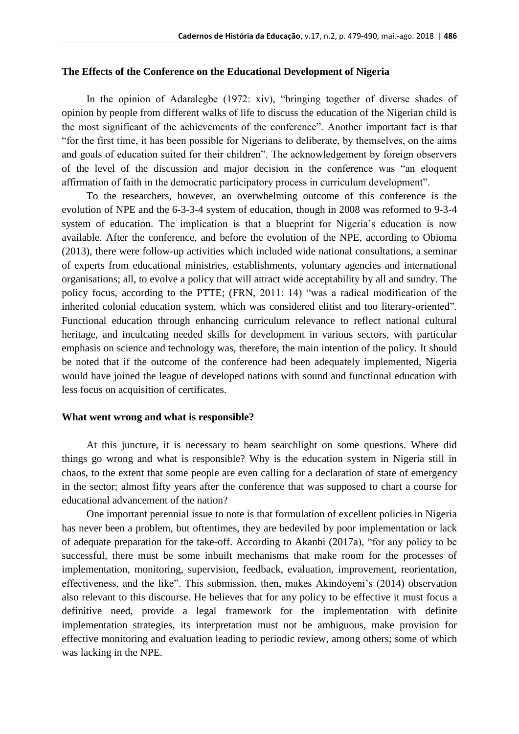## **The Effects of the Conference on the Educational Development of Nigeria**

In the opinion of Adaralegbe (1972: xiv), "bringing together of diverse shades of opinion by people from different walks of life to discuss the education of the Nigerian child is the most significant of the achievements of the conference". Another important fact is that "for the first time, it has been possible for Nigerians to deliberate, by themselves, on the aims and goals of education suited for their children". The acknowledgement by foreign observers of the level of the discussion and major decision in the conference was "an eloquent affirmation of faith in the democratic participatory process in curriculum development".

To the researchers, however, an overwhelming outcome of this conference is the evolution of NPE and the 6-3-3-4 system of education, though in 2008 was reformed to 9-3-4 system of education. The implication is that a blueprint for Nigeria's education is now available. After the conference, and before the evolution of the NPE, according to Obioma (2013), there were follow-up activities which included wide national consultations, a seminar of experts from educational ministries, establishments, voluntary agencies and international organisations; all, to evolve a policy that will attract wide acceptability by all and sundry. The policy focus, according to the PTTE; (FRN, 2011: 14) "was a radical modification of the inherited colonial education system, which was considered elitist and too literary-oriented". Functional education through enhancing curriculum relevance to reflect national cultural heritage, and inculcating needed skills for development in various sectors, with particular emphasis on science and technology was, therefore, the main intention of the policy. It should be noted that if the outcome of the conference had been adequately implemented, Nigeria would have joined the league of developed nations with sound and functional education with less focus on acquisition of certificates.

#### **What went wrong and what is responsible?**

At this juncture, it is necessary to beam searchlight on some questions. Where did things go wrong and what is responsible? Why is the education system in Nigeria still in chaos, to the extent that some people are even calling for a declaration of state of emergency in the sector; almost fifty years after the conference that was supposed to chart a course for educational advancement of the nation?

One important perennial issue to note is that formulation of excellent policies in Nigeria has never been a problem, but oftentimes, they are bedeviled by poor implementation or lack of adequate preparation for the take-off. According to Akanbi (2017a), "for any policy to be successful, there must be some inbuilt mechanisms that make room for the processes of implementation, monitoring, supervision, feedback, evaluation, improvement, reorientation, effectiveness, and the like". This submission, then, makes Akindoyeni's (2014) observation also relevant to this discourse. He believes that for any policy to be effective it must focus a definitive need, provide a legal framework for the implementation with definite implementation strategies, its interpretation must not be ambiguous, make provision for effective monitoring and evaluation leading to periodic review, among others; some of which was lacking in the NPE.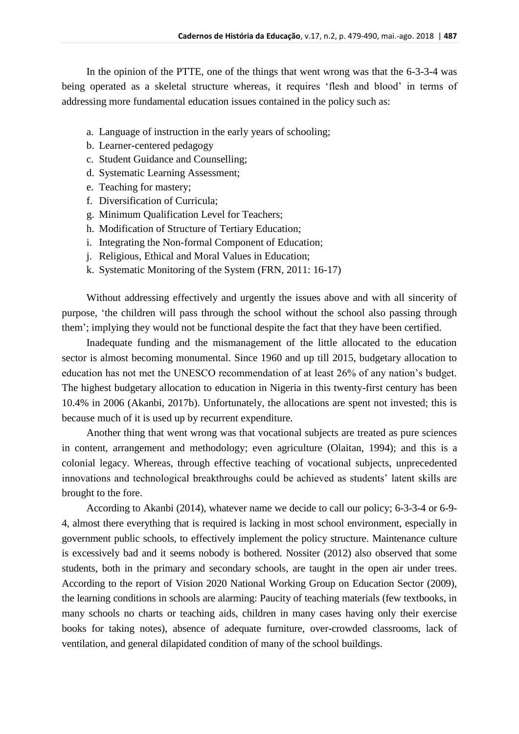In the opinion of the PTTE, one of the things that went wrong was that the 6-3-3-4 was being operated as a skeletal structure whereas, it requires 'flesh and blood' in terms of addressing more fundamental education issues contained in the policy such as:

- a. Language of instruction in the early years of schooling;
- b. Learner-centered pedagogy
- c. Student Guidance and Counselling;
- d. Systematic Learning Assessment;
- e. Teaching for mastery;
- f. Diversification of Curricula;
- g. Minimum Qualification Level for Teachers;
- h. Modification of Structure of Tertiary Education;
- i. Integrating the Non-formal Component of Education;
- j. Religious, Ethical and Moral Values in Education;
- k. Systematic Monitoring of the System (FRN, 2011: 16-17)

Without addressing effectively and urgently the issues above and with all sincerity of purpose, 'the children will pass through the school without the school also passing through them'; implying they would not be functional despite the fact that they have been certified.

Inadequate funding and the mismanagement of the little allocated to the education sector is almost becoming monumental. Since 1960 and up till 2015, budgetary allocation to education has not met the UNESCO recommendation of at least 26% of any nation's budget. The highest budgetary allocation to education in Nigeria in this twenty-first century has been 10.4% in 2006 (Akanbi, 2017b). Unfortunately, the allocations are spent not invested; this is because much of it is used up by recurrent expenditure.

Another thing that went wrong was that vocational subjects are treated as pure sciences in content, arrangement and methodology; even agriculture (Olaitan, 1994); and this is a colonial legacy. Whereas, through effective teaching of vocational subjects, unprecedented innovations and technological breakthroughs could be achieved as students' latent skills are brought to the fore.

According to Akanbi (2014), whatever name we decide to call our policy; 6-3-3-4 or 6-9- 4, almost there everything that is required is lacking in most school environment, especially in government public schools, to effectively implement the policy structure. Maintenance culture is excessively bad and it seems nobody is bothered. Nossiter (2012) also observed that some students, both in the primary and secondary schools, are taught in the open air under trees. According to the report of Vision 2020 National Working Group on Education Sector (2009), the learning conditions in schools are alarming: Paucity of teaching materials (few textbooks, in many schools no charts or teaching aids, children in many cases having only their exercise books for taking notes), absence of adequate furniture, over-crowded classrooms, lack of ventilation, and general dilapidated condition of many of the school buildings.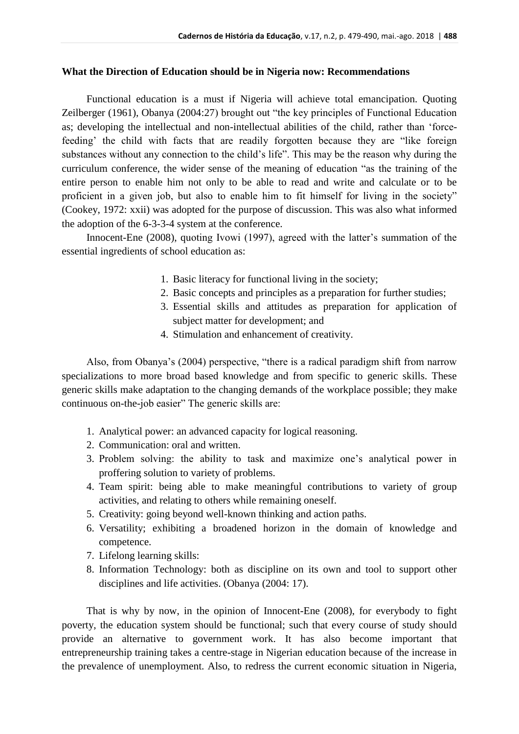## **What the Direction of Education should be in Nigeria now: Recommendations**

Functional education is a must if Nigeria will achieve total emancipation. Quoting Zeilberger (1961), Obanya (2004:27) brought out "the key principles of Functional Education as; developing the intellectual and non-intellectual abilities of the child, rather than 'forcefeeding' the child with facts that are readily forgotten because they are "like foreign substances without any connection to the child's life". This may be the reason why during the curriculum conference, the wider sense of the meaning of education "as the training of the entire person to enable him not only to be able to read and write and calculate or to be proficient in a given job, but also to enable him to fit himself for living in the society" (Cookey, 1972: xxii) was adopted for the purpose of discussion. This was also what informed the adoption of the 6-3-3-4 system at the conference.

Innocent-Ene (2008), quoting Ivowi (1997), agreed with the latter's summation of the essential ingredients of school education as:

- 1. Basic literacy for functional living in the society;
- 2. Basic concepts and principles as a preparation for further studies;
- 3. Essential skills and attitudes as preparation for application of subject matter for development; and
- 4. Stimulation and enhancement of creativity.

Also, from Obanya's (2004) perspective, "there is a radical paradigm shift from narrow specializations to more broad based knowledge and from specific to generic skills. These generic skills make adaptation to the changing demands of the workplace possible; they make continuous on-the-job easier" The generic skills are:

- 1. Analytical power: an advanced capacity for logical reasoning.
- 2. Communication: oral and written.
- 3. Problem solving: the ability to task and maximize one's analytical power in proffering solution to variety of problems.
- 4. Team spirit: being able to make meaningful contributions to variety of group activities, and relating to others while remaining oneself.
- 5. Creativity: going beyond well-known thinking and action paths.
- 6. Versatility; exhibiting a broadened horizon in the domain of knowledge and competence.
- 7. Lifelong learning skills:
- 8. Information Technology: both as discipline on its own and tool to support other disciplines and life activities. (Obanya (2004: 17).

That is why by now, in the opinion of Innocent-Ene (2008), for everybody to fight poverty, the education system should be functional; such that every course of study should provide an alternative to government work. It has also become important that entrepreneurship training takes a centre-stage in Nigerian education because of the increase in the prevalence of unemployment. Also, to redress the current economic situation in Nigeria,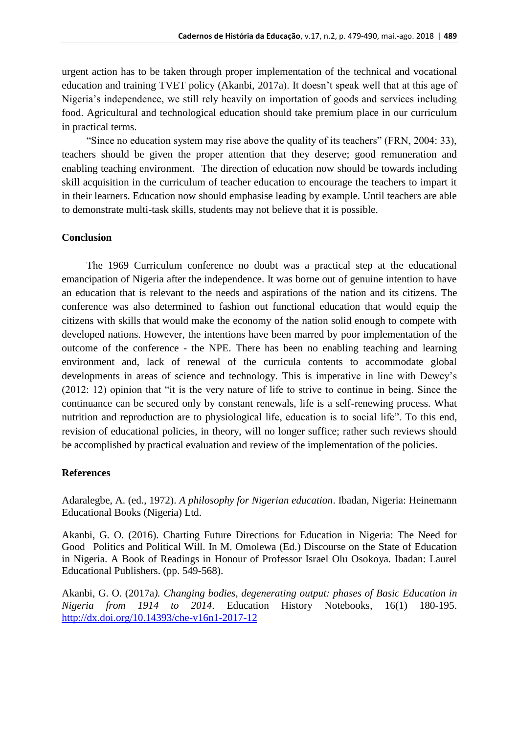urgent action has to be taken through proper implementation of the technical and vocational education and training TVET policy (Akanbi, 2017a). It doesn't speak well that at this age of Nigeria's independence, we still rely heavily on importation of goods and services including food. Agricultural and technological education should take premium place in our curriculum in practical terms.

"Since no education system may rise above the quality of its teachers" (FRN, 2004: 33), teachers should be given the proper attention that they deserve; good remuneration and enabling teaching environment. The direction of education now should be towards including skill acquisition in the curriculum of teacher education to encourage the teachers to impart it in their learners. Education now should emphasise leading by example. Until teachers are able to demonstrate multi-task skills, students may not believe that it is possible.

## **Conclusion**

The 1969 Curriculum conference no doubt was a practical step at the educational emancipation of Nigeria after the independence. It was borne out of genuine intention to have an education that is relevant to the needs and aspirations of the nation and its citizens. The conference was also determined to fashion out functional education that would equip the citizens with skills that would make the economy of the nation solid enough to compete with developed nations. However, the intentions have been marred by poor implementation of the outcome of the conference - the NPE. There has been no enabling teaching and learning environment and, lack of renewal of the curricula contents to accommodate global developments in areas of science and technology. This is imperative in line with Dewey's (2012: 12) opinion that "it is the very nature of life to strive to continue in being. Since the continuance can be secured only by constant renewals, life is a self-renewing process. What nutrition and reproduction are to physiological life, education is to social life". To this end, revision of educational policies, in theory, will no longer suffice; rather such reviews should be accomplished by practical evaluation and review of the implementation of the policies.

## **References**

Adaralegbe, A. (ed., 1972). *A philosophy for Nigerian education*. Ibadan, Nigeria: Heinemann Educational Books (Nigeria) Ltd.

Akanbi, G. O. (2016). Charting Future Directions for Education in Nigeria: The Need for Good Politics and Political Will. In M. Omolewa (Ed.) Discourse on the State of Education in Nigeria. A Book of Readings in Honour of Professor Israel Olu Osokoya. Ibadan: Laurel Educational Publishers. (pp. 549-568).

Akanbi, G. O. (2017a*). Changing bodies, degenerating output: phases of Basic Education in Nigeria from 1914 to 2014*. Education History Notebooks, 16(1) 180-195. <http://dx.doi.org/10.14393/che-v16n1-2017-12>